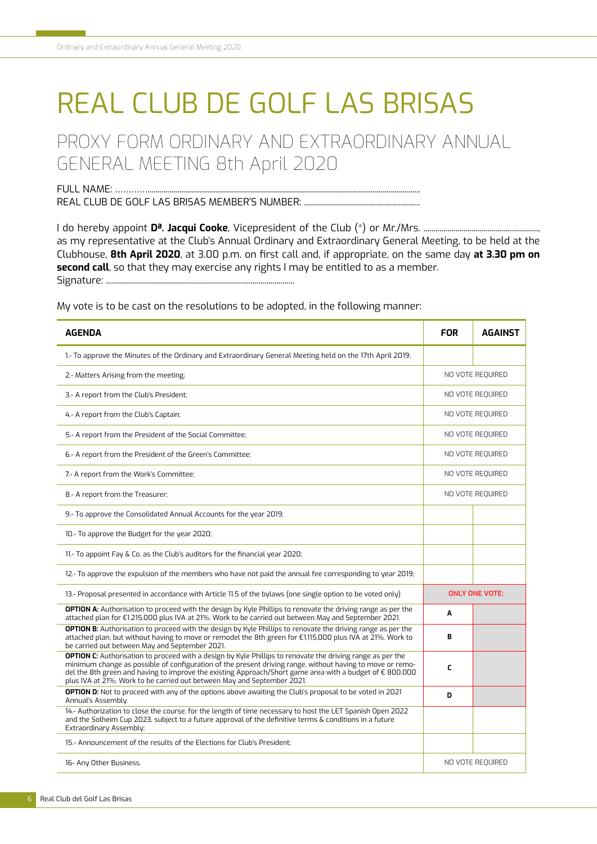## REAL CLUB DE GOLF LAS BRISAS

PROXY FORM ORDINARY AND EXTRAORDINARY ANNUAL GENERAL MEETING 8th April 2020

FULL NAME: …………........................................................................................................................................ REAL CLUB DE GOLF LAS BRISAS MEMBER'S NUMBER: ..................................

I do hereby appoint **Dª. Jacqui Cooke**, Vicepresident of the Club (\*) or Mr./Mrs. ........................................................., as my representative at the Club's Annual Ordinary and Extraordinary General Meeting, to be held at the Clubhouse, **8th April 2020**, at 3.00 p.m. on frst call and, if appropriate, on the same day **at 3.30 pm on second call**, so that they may exercise any rights I may be entitled to as a member. Signature: ..............................................................................................

My vote is to be cast on the resolutions to be adopted, in the following manner:

| <b>AGENDA</b>                                                                                                                                                                                                                                                                                                                                                                                                         | <b>FOR</b>            | <b>AGAINST</b> |
|-----------------------------------------------------------------------------------------------------------------------------------------------------------------------------------------------------------------------------------------------------------------------------------------------------------------------------------------------------------------------------------------------------------------------|-----------------------|----------------|
| 1.- To approve the Minutes of the Ordinary and Extraordinary General Meeting held on the 17th April 2019;                                                                                                                                                                                                                                                                                                             |                       |                |
| 2.- Matters Arising from the meeting;                                                                                                                                                                                                                                                                                                                                                                                 | NO VOTE REOUIRED      |                |
| 3.- A report from the Club's President;                                                                                                                                                                                                                                                                                                                                                                               | NO VOTE REOUIRED      |                |
| 4.- A report from the Club's Captain;                                                                                                                                                                                                                                                                                                                                                                                 | NO VOTE REQUIRED      |                |
| 5.- A report from the President of the Social Committee;                                                                                                                                                                                                                                                                                                                                                              | NO VOTE REQUIRED      |                |
| 6.- A report from the President of the Green's Committee;                                                                                                                                                                                                                                                                                                                                                             | NO VOTE REOUIRED      |                |
| 7.- A report from the Work's Committee;                                                                                                                                                                                                                                                                                                                                                                               | NO VOTE REOUIRED      |                |
| 8.- A report from the Treasurer;                                                                                                                                                                                                                                                                                                                                                                                      | NO VOTE REQUIRED      |                |
| 9.- To approve the Consolidated Annual Accounts for the year 2019;                                                                                                                                                                                                                                                                                                                                                    |                       |                |
| 10.- To approve the Budget for the year 2020;                                                                                                                                                                                                                                                                                                                                                                         |                       |                |
| 11.- To appoint Fay & Co. as the Club's auditors for the financial year 2020;                                                                                                                                                                                                                                                                                                                                         |                       |                |
| 12.- To approve the expulsion of the members who have not paid the annual fee corresponding to year 2019;                                                                                                                                                                                                                                                                                                             |                       |                |
| 13.- Proposal presented in accordance with Article 11.5 of the bylaws (one single option to be voted only)                                                                                                                                                                                                                                                                                                            | <b>ONLY ONE VOTE:</b> |                |
| <b>OPTION A:</b> Authorisation to proceed with the design by Kyle Phillips to renovate the driving range as per the<br>attached plan for €1.215,000 plus IVA at 21%. Work to be carried out between May and September 2021.                                                                                                                                                                                           | A                     |                |
| <b>OPTION B:</b> Authorisation to proceed with the design by Kyle Phillips to renovate the driving range as per the<br>attached plan, but without having to move or remodel the 8th green for €1,115,000 plus IVA at 21%. Work to<br>be carried out between May and September 2021.                                                                                                                                   | в                     |                |
| <b>OPTION C:</b> Authorisation to proceed with a design by Kyle Phillips to renovate the driving range as per the<br>minimum change as possible of configuration of the present driving range, without having to move or remo-<br>del the 8th green and having to improve the existing Approach/Short game area with a budget of € 800,000<br>plus IVA at 21%. Work to be carried out between May and September 2021. | C                     |                |
| <b>OPTION D:</b> Not to proceed with any of the options above awaiting the Club's proposal to be voted in 2021<br>Annual's Assembly.                                                                                                                                                                                                                                                                                  | D                     |                |
| 14.- Authorization to close the course, for the length of time necessary to host the LET Spanish Open 2022<br>and the Solheim Cup 2023, subject to a future approval of the definitive terms & conditions in a future<br>Extraordinary Assembly;                                                                                                                                                                      |                       |                |
| 15.- Announcement of the results of the Elections for Club's President:                                                                                                                                                                                                                                                                                                                                               |                       |                |
| 16- Any Other Business.                                                                                                                                                                                                                                                                                                                                                                                               | NO VOTE REOUIRED      |                |